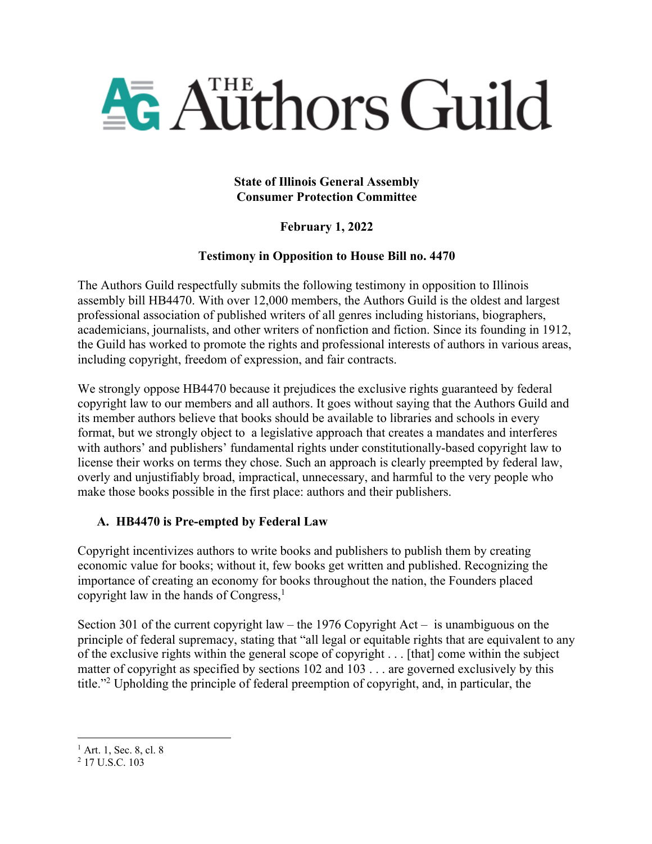

### **State of Illinois General Assembly Consumer Protection Committee**

# **February 1, 2022**

## **Testimony in Opposition to House Bill no. 4470**

The Authors Guild respectfully submits the following testimony in opposition to Illinois assembly bill HB4470. With over 12,000 members, the Authors Guild is the oldest and largest professional association of published writers of all genres including historians, biographers, academicians, journalists, and other writers of nonfiction and fiction. Since its founding in 1912, the Guild has worked to promote the rights and professional interests of authors in various areas, including copyright, freedom of expression, and fair contracts.

We strongly oppose HB4470 because it prejudices the exclusive rights guaranteed by federal copyright law to our members and all authors. It goes without saying that the Authors Guild and its member authors believe that books should be available to libraries and schools in every format, but we strongly object to a legislative approach that creates a mandates and interferes with authors' and publishers' fundamental rights under constitutionally-based copyright law to license their works on terms they chose. Such an approach is clearly preempted by federal law, overly and unjustifiably broad, impractical, unnecessary, and harmful to the very people who make those books possible in the first place: authors and their publishers.

## **A. HB4470 is Pre-empted by Federal Law**

Copyright incentivizes authors to write books and publishers to publish them by creating economic value for books; without it, few books get written and published. Recognizing the importance of creating an economy for books throughout the nation, the Founders placed copyright law in the hands of Congress, $<sup>1</sup>$ </sup>

Section 301 of the current copyright law – the 1976 Copyright Act – is unambiguous on the principle of federal supremacy, stating that "all legal or equitable rights that are equivalent to any of the exclusive rights within the general scope of copyright . . . [that] come within the subject matter of copyright as specified by sections 102 and 103 . . . are governed exclusively by this title."2 Upholding the principle of federal preemption of copyright, and, in particular, the

 $1<sup>1</sup>$  Art. 1, Sec. 8, cl. 8  $2<sup>2</sup>$  17 U.S.C. 103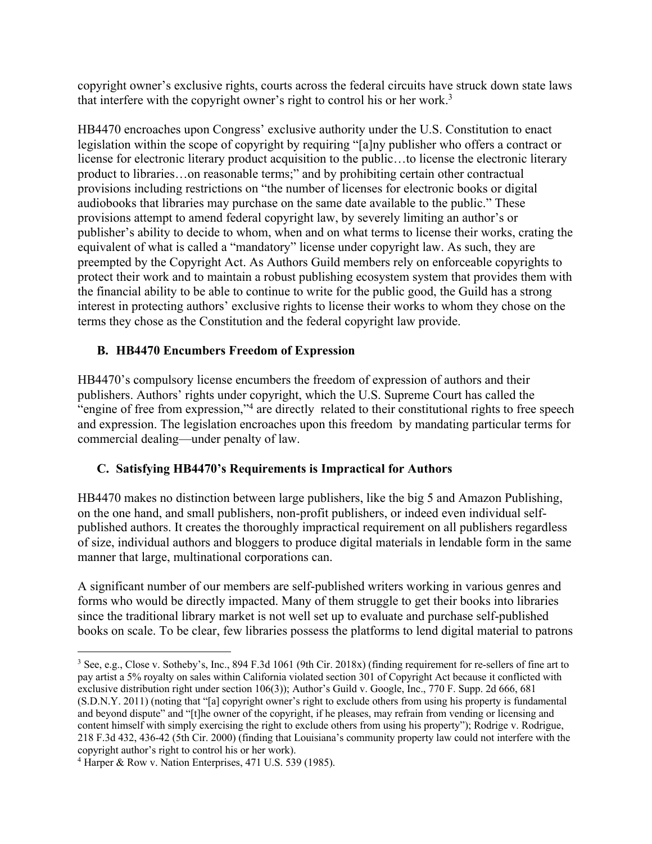copyright owner's exclusive rights, courts across the federal circuits have struck down state laws that interfere with the copyright owner's right to control his or her work.3

HB4470 encroaches upon Congress' exclusive authority under the U.S. Constitution to enact legislation within the scope of copyright by requiring "[a]ny publisher who offers a contract or license for electronic literary product acquisition to the public…to license the electronic literary product to libraries…on reasonable terms;" and by prohibiting certain other contractual provisions including restrictions on "the number of licenses for electronic books or digital audiobooks that libraries may purchase on the same date available to the public." These provisions attempt to amend federal copyright law, by severely limiting an author's or publisher's ability to decide to whom, when and on what terms to license their works, crating the equivalent of what is called a "mandatory" license under copyright law. As such, they are preempted by the Copyright Act. As Authors Guild members rely on enforceable copyrights to protect their work and to maintain a robust publishing ecosystem system that provides them with the financial ability to be able to continue to write for the public good, the Guild has a strong interest in protecting authors' exclusive rights to license their works to whom they chose on the terms they chose as the Constitution and the federal copyright law provide.

### **B. HB4470 Encumbers Freedom of Expression**

HB4470's compulsory license encumbers the freedom of expression of authors and their publishers. Authors' rights under copyright, which the U.S. Supreme Court has called the "engine of free from expression,"4 are directly related to their constitutional rights to free speech and expression. The legislation encroaches upon this freedom by mandating particular terms for commercial dealing—under penalty of law.

## **C. Satisfying HB4470's Requirements is Impractical for Authors**

HB4470 makes no distinction between large publishers, like the big 5 and Amazon Publishing, on the one hand, and small publishers, non-profit publishers, or indeed even individual selfpublished authors. It creates the thoroughly impractical requirement on all publishers regardless of size, individual authors and bloggers to produce digital materials in lendable form in the same manner that large, multinational corporations can.

A significant number of our members are self-published writers working in various genres and forms who would be directly impacted. Many of them struggle to get their books into libraries since the traditional library market is not well set up to evaluate and purchase self-published books on scale. To be clear, few libraries possess the platforms to lend digital material to patrons

<sup>3</sup> See, e.g., Close v. Sotheby's, Inc., 894 F.3d 1061 (9th Cir. 2018x) (finding requirement for re-sellers of fine art to pay artist a 5% royalty on sales within California violated section 301 of Copyright Act because it conflicted with exclusive distribution right under section 106(3)); Author's Guild v. Google, Inc., 770 F. Supp. 2d 666, 681 (S.D.N.Y. 2011) (noting that "[a] copyright owner's right to exclude others from using his property is fundamental and beyond dispute" and "[t]he owner of the copyright, if he pleases, may refrain from vending or licensing and content himself with simply exercising the right to exclude others from using his property"); Rodrige v. Rodrigue, 218 F.3d 432, 436-42 (5th Cir. 2000) (finding that Louisiana's community property law could not interfere with the copyright author's right to control his or her work).

<sup>4</sup> Harper & Row v. Nation Enterprises, 471 U.S. 539 (1985).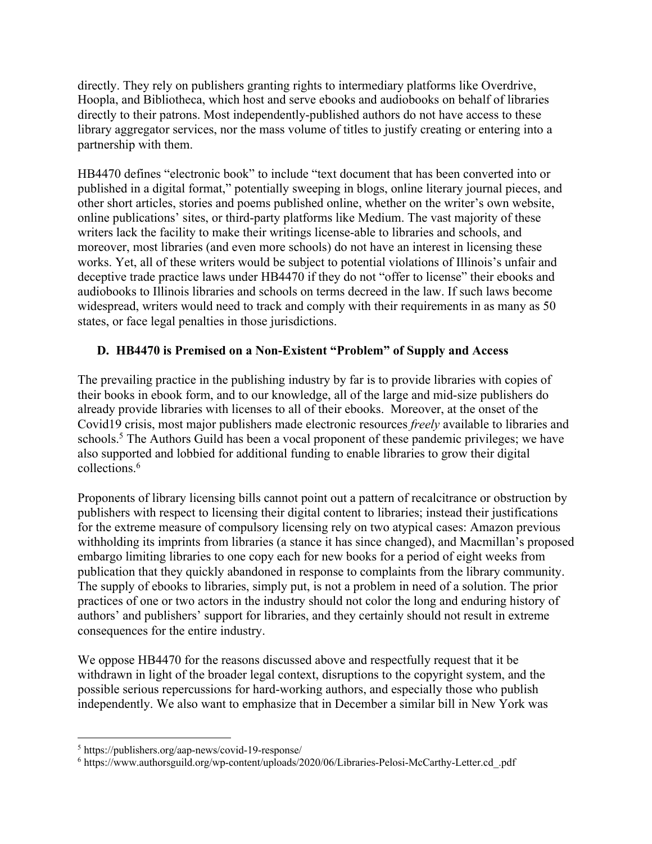directly. They rely on publishers granting rights to intermediary platforms like Overdrive, Hoopla, and Bibliotheca, which host and serve ebooks and audiobooks on behalf of libraries directly to their patrons. Most independently-published authors do not have access to these library aggregator services, nor the mass volume of titles to justify creating or entering into a partnership with them.

HB4470 defines "electronic book" to include "text document that has been converted into or published in a digital format," potentially sweeping in blogs, online literary journal pieces, and other short articles, stories and poems published online, whether on the writer's own website, online publications' sites, or third-party platforms like Medium. The vast majority of these writers lack the facility to make their writings license-able to libraries and schools, and moreover, most libraries (and even more schools) do not have an interest in licensing these works. Yet, all of these writers would be subject to potential violations of Illinois's unfair and deceptive trade practice laws under HB4470 if they do not "offer to license" their ebooks and audiobooks to Illinois libraries and schools on terms decreed in the law. If such laws become widespread, writers would need to track and comply with their requirements in as many as 50 states, or face legal penalties in those jurisdictions.

### **D. HB4470 is Premised on a Non-Existent "Problem" of Supply and Access**

The prevailing practice in the publishing industry by far is to provide libraries with copies of their books in ebook form, and to our knowledge, all of the large and mid-size publishers do already provide libraries with licenses to all of their ebooks. Moreover, at the onset of the Covid19 crisis, most major publishers made electronic resources *freely* available to libraries and schools.<sup>5</sup> The Authors Guild has been a vocal proponent of these pandemic privileges; we have also supported and lobbied for additional funding to enable libraries to grow their digital collections.6

Proponents of library licensing bills cannot point out a pattern of recalcitrance or obstruction by publishers with respect to licensing their digital content to libraries; instead their justifications for the extreme measure of compulsory licensing rely on two atypical cases: Amazon previous withholding its imprints from libraries (a stance it has since changed), and Macmillan's proposed embargo limiting libraries to one copy each for new books for a period of eight weeks from publication that they quickly abandoned in response to complaints from the library community. The supply of ebooks to libraries, simply put, is not a problem in need of a solution. The prior practices of one or two actors in the industry should not color the long and enduring history of authors' and publishers' support for libraries, and they certainly should not result in extreme consequences for the entire industry.

We oppose HB4470 for the reasons discussed above and respectfully request that it be withdrawn in light of the broader legal context, disruptions to the copyright system, and the possible serious repercussions for hard-working authors, and especially those who publish independently. We also want to emphasize that in December a similar bill in New York was

<sup>5</sup> https://publishers.org/aap-news/covid-19-response/

<sup>6</sup> https://www.authorsguild.org/wp-content/uploads/2020/06/Libraries-Pelosi-McCarthy-Letter.cd\_.pdf